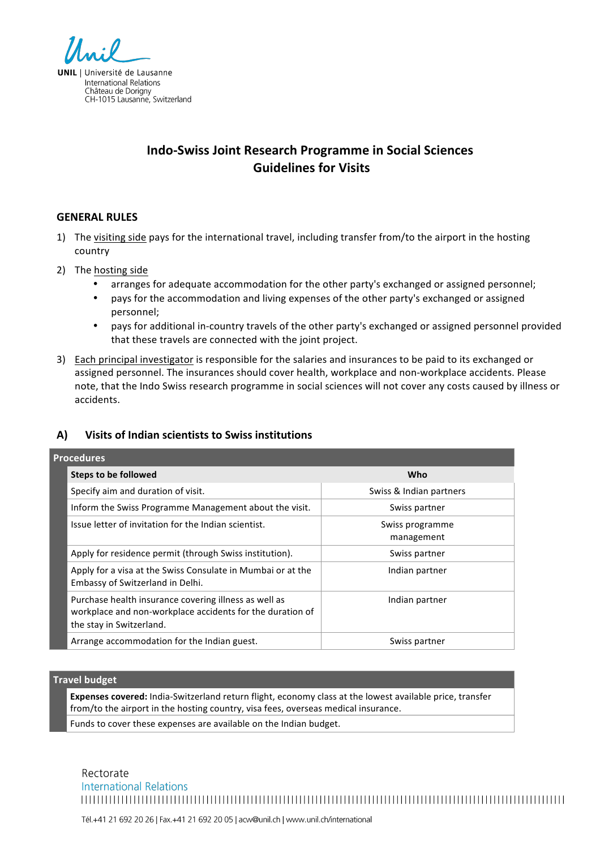

Château de Dorigny<br>Château de Dorigny<br>CH-1015 Lausanne, Switzerland

# **Indo%Swiss\*Joint\*Research\*Programme\*in\*Social\*Sciences Guidelines for Visits**

## **GENERAL RULES**

- 1) The visiting side pays for the international travel, including transfer from/to the airport in the hosting country
- 2) The hosting side
	- arranges for adequate accommodation for the other party's exchanged or assigned personnel;
	- pays for the accommodation and living expenses of the other party's exchanged or assigned personnel;
	- pays for additional in-country travels of the other party's exchanged or assigned personnel provided that these travels are connected with the joint project.
- 3) Each principal investigator is responsible for the salaries and insurances to be paid to its exchanged or assigned personnel. The insurances should cover health, workplace and non-workplace accidents. Please note, that the Indo Swiss research programme in social sciences will not cover any costs caused by illness or accidents.

# A) Visits of Indian scientists to Swiss institutions

| <b>Procedures</b> |                                                                                                                                                |                               |  |  |
|-------------------|------------------------------------------------------------------------------------------------------------------------------------------------|-------------------------------|--|--|
|                   | Steps to be followed                                                                                                                           | Who                           |  |  |
|                   | Specify aim and duration of visit.                                                                                                             | Swiss & Indian partners       |  |  |
|                   | Inform the Swiss Programme Management about the visit.                                                                                         | Swiss partner                 |  |  |
|                   | Issue letter of invitation for the Indian scientist.                                                                                           | Swiss programme<br>management |  |  |
|                   | Apply for residence permit (through Swiss institution).                                                                                        | Swiss partner                 |  |  |
|                   | Apply for a visa at the Swiss Consulate in Mumbai or at the<br>Embassy of Switzerland in Delhi.                                                | Indian partner                |  |  |
|                   | Purchase health insurance covering illness as well as<br>workplace and non-workplace accidents for the duration of<br>the stay in Switzerland. | Indian partner                |  |  |
|                   | Arrange accommodation for the Indian guest.                                                                                                    | Swiss partner                 |  |  |

#### **Travel budget**

Expenses covered: India-Switzerland return flight, economy class at the lowest available price, transfer from/to the airport in the hosting country, visa fees, overseas medical insurance.

Funds to cover these expenses are available on the Indian budget.

Rectorate **International Relations** 

Tél.+41 21 692 20 26 | Fax.+41 21 692 20 05 | acw@unil.ch | www.unil.ch/international